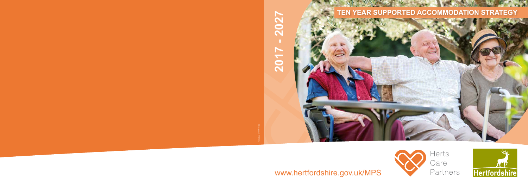### **TEN YEAR SUPPORTED ACCOMMODATION STRATEGY**



www.hertfordshire.gov.uk/MPS





# 2027 **2017 - 2027 Z017**

Design ref 084526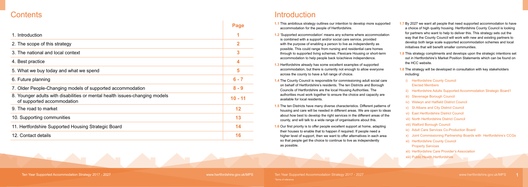**1.1** This ambitious strategy outlines our intention to develop more supported ccommodation for the people of Hertfordshire.

| <b>Contents</b>                                                                                           |             | Introduction                                                                                                                                                               |  |
|-----------------------------------------------------------------------------------------------------------|-------------|----------------------------------------------------------------------------------------------------------------------------------------------------------------------------|--|
|                                                                                                           | <b>Page</b> | 1.1 This ambitious strategy<br>accommodation for the                                                                                                                       |  |
| 1. Introduction                                                                                           |             | 1.2 'Supported accommoda                                                                                                                                                   |  |
| 2. The scope of this strategy                                                                             | $\mathbf 2$ | is combined with a sup<br>with the purpose of ena                                                                                                                          |  |
| 3. The national and local context                                                                         | 3           | possible. This could rar<br>through to supported liv                                                                                                                       |  |
| 4. Best practice                                                                                          | 4           | accommodation to help<br>1.3 Hertfordshire already h<br>accommodation, but th                                                                                              |  |
| 5. What we buy today and what we spend                                                                    | 5           |                                                                                                                                                                            |  |
| 6. Future planning                                                                                        | $6 - 7$     | across the county to ha<br>1.4 The County Council is<br>on behalf of Hertfordsh<br><b>Councils of Hertfordshi</b><br>authorities must work to<br>available for local resid |  |
| 7. Older People-Changing models of supported accommodation                                                | $8 - 9$     |                                                                                                                                                                            |  |
| 8. Younger adults with disabilities or mental health issues-changing models<br>of supported accommodation | $10 - 11$   |                                                                                                                                                                            |  |
| 9. The road to market                                                                                     | 12          | <b>1.5</b> The ten Districts have r<br>housing and care will b                                                                                                             |  |
| 10. Supporting communities                                                                                | 13          | about how best to deve<br>county, and will talk to a                                                                                                                       |  |
| 11. Hertfordshire Supported Housing Strategic Board                                                       | 14          | 1.6 Our first priority is to of                                                                                                                                            |  |
| 12. Contact details                                                                                       | 16          | their houses to enable<br>higher level of support,<br>so that people get the o                                                                                             |  |

 $\triangle$  and  $\triangle$ 

- **1.2** 'Supported accommodation' means any scheme where accommodation is combined with a support and/or social care service, provided ith the purpose of enabling a person to live as independently as possible. This could range from nursing and residential care homes trough to supported living schemes, Flexicare Housing or short-term ccommodation to help people back to/achieve independence.
- lertfordshire already has some excellent examples of supported ccommodation, but there is currently not enough to allow everyone across the county to have a full range of choice.
- **1.4** The County Council is responsible for commissioning adult social care on behalf of Hertfordshire's residents. The ten Districts and Borough Councils of Hertfordshire are the local Housing Authorities. The uthorities must work together to ensure the choice and capacity are vailable for local residents.
- **1.5** The ten Districts have many diverse characteristics. Different patterns of ousing and care will be needed in different areas. We are open to ideas bout how best to develop the right services in the different areas of the county, and will talk to a wide range of organisations about this.
- **1.6** Our first priority is to offer people excellent support at home, adapting heir houses to enable that to happen if required. If people need a igher level of support, then we want to offer alternatives in each area so that people get the choice to continue to live as independently as possible.
- **1.7** By 2027 we want all people that need supported accommodation to have a choice of high quality housing. Hertfordshire County Council is looking for partners who want to help to deliver this. This strategy sets out the way that the County Council will work with new and existing partners to develop both large scale supported accommodation schemes and local initiatives that will benefit smaller communities.
- **1.8** This strategy compliments and develops upon the strategic intentions set out in Hertfordshire's Market Position Statements which can be found on the HCC website.
- **1.6** The strategy will be developed in consultation with key stakeholders including:
	- i) Hertfordshire County Council Elected Members
	- ii) Hertfordshire Adults Supported Accommodation Strategic Board1
	- iii) Stevenage Borough Council
	- iv) Welwyn and Hatfield District Council
	- v) St Albans and City District Council
	- vi) East Hertfordshire District Council
	- vii) North Hertfordshire District Council
	- viii) Watford Borough Council
	- ix) Adult Care Services Co-Production Board
	- x) Joint Commissioning Partnership Boards with Hertfordshire's CCGs
	- xi) Hertfordshire County Council Property Services
	- xii) Hertfordshire Care Provider's Association
	- xiii) Public Health Hertfordshire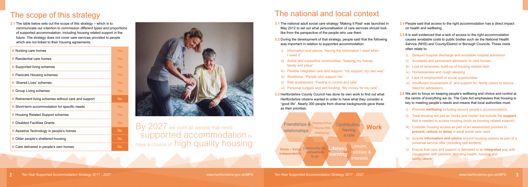**2.1** The table below sets out the scope of this strategy – which is to communicate our intention to commission different types and proportions of supported accommodation, including housing related support in the future. The strategy does not cover care services provided to people which are not linked to their housing agreements.

**3.1** The national adult social care strategy 'Making It Real' was launched in May 2012 to set out what personalisation of care services should look like from the perspective of the people who use them.

| Nursing care homes                                 | Yes        |
|----------------------------------------------------|------------|
| Residential care homes                             | Yes        |
| Supported living schemes                           | Yes        |
| <b>Flexicare Housing schemes</b>                   | Yes        |
| 'Shared Lives' schemes                             | <b>Yes</b> |
| <b>Group Living schemes</b>                        | Yes        |
| Retirement living schemes without care and support | <b>No</b>  |
| Short-term accommodation for specific needs        | Yes        |
| <b>Housing Related Support schemes</b>             | <b>Yes</b> |
|                                                    |            |
| <b>Disabled Facilities Grants</b>                  | <b>Yes</b> |
| Assistive Technology in people's homes             | <b>No</b>  |
| Older people's sheltered housing                   | <b>No</b>  |



By 2027 we want all people that need<br>Supported accommodation to have a choice of high quality housing

### The scope of this strategy

#### The national and local context

**3.2** During the development of that strategy, people said that the following was important in relation to supported accommodation:

- i) Information and advice: "having the information I need when I need it"
- ii) Active and supportive communities: "keeping my friends, family and place"
- iii) Flexible integrated care and support: "my support, my own way"
- iv) Workforce: "People who support me"
- v) Risk enablement: "Feeling in control and safe"
- vi) Personal budgets and self-funding: "My money for my care".

**3.3** Hertfordshire County Council has done its own work to find out what Hertfordshire citizens wanted in order to have what they consider a "good life". Nearly 300 people from diverse backgrounds gave these as their priorities:

- **3.4** People said that access to the right accommodation has a direct impact on health and wellbeing.
- **3.5** It is well evidenced that a lack of access to the right accommodation causes avoidable costs to public bodies such as the National Health Service (NHS) and County/District or Borough Councils. These costs often relate to:
	- Delayed hospital discharge and avoidable hospital admission
	- ii) Avoidable and permanent admission to care homes
	- iii) Loss of tenancies, build-up of housing related debt
	- iv) Homelessness and rough sleeping
	- v) Lack of employment or social opportunities
	- vi) Insufficient involvement of, and support for, family carers to reduce need for admissions
- **3.6** We aim to focus on keeping people's wellbeing and choice and control at the centre of everything we do. The Care Act emphasises that housing is key to meeting people's needs and means that local authorities must:
	- **i**) Promote **wellbeing** including around people's accommodation.
	- ii) Treat housing not just as 'bricks and mortar' but include the **support** that is needed to access housing (such as housing related support)
	- iii) Consider housing access as part of an assessment process to **prevent, reduce or delay** in adult social care need
	- iv) Include **information and advice** around housing options as part of a universal service offer (including self-funders)
	- v) Ensure that care and support is delivered in an **integrated** way with cooperation with partners, including health, housing and family carers

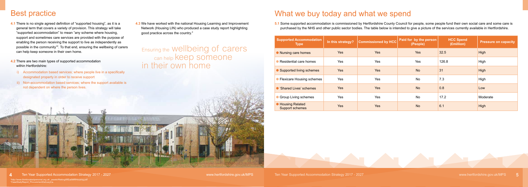#### Best practice

- **4.1** There is no single agreed definition of "supported housing", as it is a general term that covers a variety of provision. This strategy will take "supported accommodation" to mean "any scheme where housing, support and sometimes care services are provided with the purpose of enabling the person receiving the support to live as independently as possible in the community"2 . To that end, ensuring the wellbeing of carers can help keep someone in their own home.
- **4.2** There are two main types of supported accommodation within Hertfordshire:
- i) Accommodation based services; where people live in a specifically designated property in order to receive support
- ii) Non-accommodation based services; where the support available is not dependent on where the person lives.

Ensuring the Wellbeing of carers can help **keep** someone in their own home

Www.hertfordshire.gov.uk/MPS Ten Year Supported Accommodation Strategy 2017 - 2027 www.hertfordshire.gov.uk/MPS Ten Year Supported Accommodation Strategy 2017 - 2027 www.hertfordshire.gov.uk/MPS 5

5.1 Some supported accommodation is commissioned by Hertfordshire County Council for people, some people fund their own social care and some care is purchased by the NHS and other public sector bodies. The table below is intended to give a picture of the services currently available in Hertfordshire.

### What we buy today and what we spend

| <b>Supported Accommodation</b><br><b>Type</b>    | In this strategy? | <b>Commissioned by HCC</b> | Paid for by the person<br>(People) | <b>HCC Spend</b><br>(£million) | <b>Pressure on capacity</b> |
|--------------------------------------------------|-------------------|----------------------------|------------------------------------|--------------------------------|-----------------------------|
| • Nursing care homes                             | <b>Yes</b>        | <b>Yes</b>                 | <b>Yes</b>                         | 32.5                           | High                        |
| Residential care homes                           | Yes               | Yes                        | Yes                                | 126.8                          | High                        |
| Supported living schemes                         | Yes               | <b>Yes</b>                 | <b>No</b>                          | 31                             | High                        |
| <b>Flexicare Housing schemes</b>                 | Yes               | <b>Yes</b>                 | <b>No</b>                          | 7.3                            | High                        |
| 'Shared Lives' schemes                           | <b>Yes</b>        | <b>Yes</b>                 | <b>No</b>                          | 0.8                            | Low                         |
| <b>Group Living schemes</b>                      | Yes               | Yes                        | <b>No</b>                          | 17.2                           | Moderate                    |
| <b>Housing Related</b><br><b>Support schemes</b> | <b>Yes</b>        | <b>Yes</b>                 | <b>No</b>                          | 6.1                            | High                        |

**4.3** We have worked with the national Housing Learning and Improvement Network (Housing LIN) who produced a case study report highlighting good practice across the country.3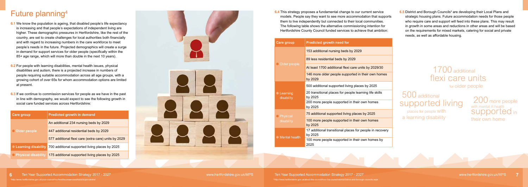### Future planning 4

- **6.1** We know the population is ageing, that disabled people's life expectancy is increasing and that people's expectations of independent living are higher. These demographic pressures in Hertfordshire, like the rest of the country, are set to create challenges for local authorities both financially and with regard to increasing numbers in the care workforce to meet people's needs in the future. Projected demographics will create a surge in demand for support services for older people (specifically within the 85+ age range, which will more than double in the next 10 years).
- **6.2** For people with learning disabilities, mental health issues, physical disabilities and autism, there is a projected increase in numbers of people requiring suitable accommodation across all age groups, with a growing cohort of over 65s for whom accommodation options are limited at present.
- **6.3** If we continue to commission services for people as we have in the past in line with demography, we would expect to see the following growth in social care funded services across Hertfordshire:

| <b>Care group</b>     | <b>Predicted growth in demand</b>                                    |  |
|-----------------------|----------------------------------------------------------------------|--|
| O Older people        | An additional 234 nursing beds by 2029                               |  |
|                       | 447 additional residential beds by 2029                              |  |
|                       | 577 additional flexi care (extra care) units by 2029                 |  |
|                       | • Learning disability 700 additional supported living places by 2025 |  |
| O Physical disability | 175 additional supported living places by 2025                       |  |



**6.5** District and Borough Councils<sup>5</sup> are developing their Local Plans and strategic housing plans. Future accommodation needs for those people who require care and support will feed into these plans. This may result in growth in some areas and reductions in other areas and will be based on the requirements for mixed markets, catering for social and private needs, as well as affordable housing.

> 200 more people with mental ill health supported in their own home

**6.4** This strategy proposes a fundamental change to our current service models. People say they want to see more accommodation that supports them to live independently but connected to their local communities. The following table shows the alternative commissioning intention for Hertfordshire County Council funded services to achieve that ambition:

| <b>Care group</b>               | <b>Predicted growth need for</b>                                    |
|---------------------------------|---------------------------------------------------------------------|
| O Older people                  | 153 additional nursing beds by 2029                                 |
|                                 | 89 less residential beds by 2029                                    |
|                                 | At least 1700 additional flexi care units by 2029/30                |
|                                 | 146 more older people supported in their own homes<br>by 2029       |
| <b>Learning</b><br>disability   | 500 additional supported living places by 2025                      |
|                                 | 20 transitional places for people learning life skills<br>by 2025   |
|                                 | 200 more people supported in their own homes<br>by 2025             |
| <b>O</b> Physical<br>disability | 75 additional supported living places by 2025                       |
|                                 | 100 more people supported in their own homes<br>by 2025             |
| • Mental health                 | 17 additional transitional places for people in recovery<br>by 2025 |
|                                 | 100 more people supported in their own homes by<br>2025             |

# 1700 additional flexi care units

for older people

 500 additional supported living

 places for people with a learning disability

4 http://www.hertfordshire.gov.uk/about-the-council/how-the-council-works/district-and-borough-councils.aspx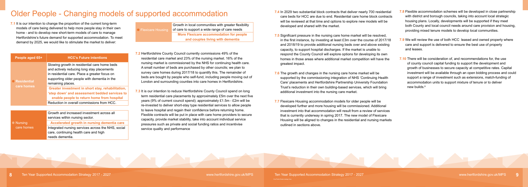## Older People - Changing models of supported accommodation **7.4 In 2029 two substantial block contracts that deliver nearly 700 residential care home block contracts that deliver nearly 700 residential**

**7.1** It is our intention to change the proportion of the current long-term models of care being delivered to help more people stay in their own home - and to develop new short-term models of care to manage Hertfordshire's future demand for supported accommodation. To meet demand by 2025, we would like to stimulate the market to deliver:

● Flexicare Housin Growth in local communities with greater flexibility of care to support a wide range of care needs **More Flexicare accommodation for people and couples living with dementia**

| People aged 65+                    | <b>HCC's Future intentions</b>                                                                                                                                                                                   |
|------------------------------------|------------------------------------------------------------------------------------------------------------------------------------------------------------------------------------------------------------------|
| <b>C</b> Residential<br>care homes | Slowing growth in residential care home beds<br>and actively reducing long stay placements<br>in residential care. Place a greater focus on<br>supporting older people with dementia in the<br>remaining places. |
|                                    | Greater investment in short stay, rehabilitation,<br>'step down' and assessment bedded services to<br>enable people to return home from hospital                                                                 |
|                                    | Reduction in overall commissions from HCC.                                                                                                                                                                       |
|                                    |                                                                                                                                                                                                                  |
|                                    | Growth and increased investment across all<br>services within nursing sector.                                                                                                                                    |
| <b>Nursing</b><br>care homes       | Accelerated growth in nursing dementia care                                                                                                                                                                      |
|                                    | Integrated nursing services across the NHS, social<br>care, continuing health care and high                                                                                                                      |

needs dementia.

- **7.2** Hertfordshire County Council currently commissions 49% of the residential care market and 23% of the nursing market. 16% of the nursing market is commissioned by the NHS for continuing health care. A small number of beds are purchased by other councils; we plan to survey care homes during 2017/18 to quantify this. The remainder of beds are bought by people who self-fund, including people moving out of London and surrounding counties into care homes in Hertfordshire.
- **7.3** It is our intention to reduce Hertfordshire County Council spend on long term residential care placements by approximately £5m over the next five years (9% of current council spend); approximately £1.5m - £2m will be re-invested to deliver short-stay type residential services to allow people to leave hospital and regain their confidence before returning home. Flexible contracts will be put in place with care home providers to secure capacity, provide market stability, take into account individual service pressures such as private and social funding ratios and incentivise service quality and performance
- **7.8** Flexible accommodation schemes will be developed in close partnership with district and borough councils, taking into account local strategic housing plans. Locally, developments will be supported if they meet both County and local council needs around care provision and housing, providing mixed tenure models to develop local communities.
- **7.9** We will review the use of both HCC leased and owned property where care and support is delivered to ensure the best use of property and leases.
- **7.10** There will be consideration of, and recommendations for, the use of county council capital funding to support the development and growth of businesses to secure capacity at competitive rates. Capital investment will be available through an open bidding process and could support a range of investment such as extensions, match-funding of accommodation units to support mixture of tenure or to deliver new builds.<sup>6</sup>

care beds for HCC are due to end. Residential care home block contracts will be reviewed at that time and options to explore new models will be developed and shared with the market.

**7.5** Significant pressure in the nursing care home market will be resolved, in the first instance, by investing at least £3m over the course of 2017/18 and 2018/19 to provide additional nursing beds over and above existing capacity, to support hospital discharges. If the market is unable to respond the County Council will explore options for developing its own homes in those areas where additional market competition will have the greatest impact.

**7.6** The growth and changes in the nursing care home market will be supported by the commissioning integration of NHS 'Continuing Health Care' placements and Hertfordshire Partnership University Foundation Trust's reduction in their own building-based services, which will bring additional investment into the nursing care market.

**7.7** Flexicare Housing accommodation models for older people will be developed further and more housing will be commissioned. Additional investment into that accommodation will result from a review of services that is currently underway in spring 2017. The new model of Flexicare Housing will be aligned to changes in the residential and nursing markets outlined in sections above.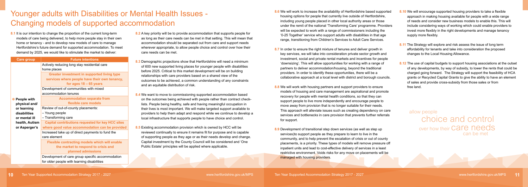### Younger adults with Disabilities or Mental Health Issues - Changing models of supported accommodation

**8.1** It is our intention to change the proportion of the current long-term models of care being delivered, to help more people stay in their own home or tenancy - and to develop new models of care to manage Hertfordshire's future demand for supported accommodation. To meet demand by 2025, we would like to stimulate the market to deliver:

| <b>Care group</b> | <b>Future intentions</b>                                 |
|-------------------|----------------------------------------------------------|
|                   | Actively reducing long stay residential care             |
|                   | home places                                              |
|                   | <b>Greater investment in supported living type</b>       |
|                   | services where people have their own tenancy,            |
|                   | for ages $18 - 65$ years                                 |
|                   | Development of communities with mixed                    |
|                   | accommodation tenures                                    |
| People with       | <b>Accommodation separate from</b>                       |
| physical and/     | flexible care models                                     |
| or learning       | Review of out-of-county placements:                      |
| disabilities      | - Young people                                           |
| or mental ill     | - Transforming care                                      |
| health, Autism    | <b>Capital contributions requested for key HCC sites</b> |
| or Asperger's     | where good value accommodation can be provided           |
|                   | Increased take up of direct payments to fund the         |
|                   | care element                                             |
|                   | <b>Flexible contracting models which will enable</b>     |
|                   | the market to respond to crisis and                      |
|                   | planned admissions                                       |
|                   | Development of care group specific accommodation         |
|                   | for older people with learning disabilities              |

8.7 In order to ensure the right mixture of tenures and deliver growth in key services, we will take into consideration private sector growth and investment, social and private rental markets and incentives for people 'downsizing'. This will allow opportunities for working with a range of partners to deliver accommodation/housing, beyond the traditional providers. In order to identify these opportunities, there will be a collaborative approach at a local level with district and borough councils.

- **8.2** A key priority will be to provide accommodation that supports people for as long as their care needs can be met in that setting. This will mean that accommodation should be separated out from care and support needs wherever appropriate, to allow people choice and control over how their care needs can be met.
- **8.3** Demographic projections show that Hertfordshire will need a minimum of 600 new supported living places for younger people with disabilities before 2025. Critical to this market development will be on building relationships with care providers based on a shared view of the outcomes to be achieved, a common understanding of any constraints and an equitable distribution of risk.
- **8.4** We want to move to commissioning supported accommodation based on the outcomes being achieved with people rather than contract checklists. People being healthy, safe and having meaningful occupation in their lives is most important. We will make targeted support available to providers to help them adapt and respond while we continue to develop a local infrastructure that supports people to have choice and control.
- **8.5** Existing accommodation provision which is owned by HCC will be reviewed continually to ensure it remains fit for purpose and is capable of supporting people as they age or as their needs develop and change. Capital investment by the County Council will be considered and 'One Public Estate' principles will be applied where applicable.

**8.6** We will work to increase the availability of Hertfordshire based supported housing options for people that currently live outside of Hertfordshire, including young people placed in other local authority areas or those under the remit of the national 'Transforming Care' programme. Providers will be expected to work with a range of commissioners including the '0-25 Together' service who support adults with disabilities in that age range, transitioning from Children's Services to Adult Care Services.

**8.8** We will work with housing partners and support providers to ensure models of housing and care management are aspirational and promote recovery for people with mental health conditions, so that they can support people to live more independently and encourage people to move away from provision that is no longer suitable for their needs. This approach will alleviate issues such as creating dependency on care services and bottlenecks in care provision that prevents further referrals for support.

**8.9** Development of transitional step down services (as well as step up services)to support people as they prepare to learn to live in the community, and to help prevent the escalation of crisis or out of county placements, is a priority. These types of models will remove pressure off inpatient units and lead to cost-effective delivery of services in a least restrictive environment. Voids risks for any move on placements will be managed with housing providers.

- **8.10** We will encourage supported housing providers to take a flexible approach in making housing available for people with a wide range of needs and consider new business models to enable this. This will include considering ways of working which could enable providers to invest more flexibly in the right developments and manage tenancy supply more flexibly.
- **8.11** The Strategy will explore and risk assess the issue of long term affordability for tenants and take into consideration the proposed changes to the Local Housing Allowance.
- **8.12** The use of capital budgets to support housing associations at the outset of any developments, by way of subsidy, to lower the rents that could be charged going forward. The Strategy will support the feasibility of HCA grants or Recycled Capital Grants to give the ability to have an element of sales and provide cross-subsidy from those sales or from free land.

allow people choice and control over how their Care needs can be met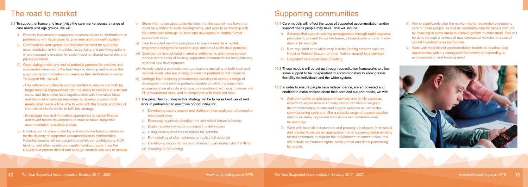- **9.1** To support, enhance and incentivise the care market across a range of care needs and age groups, we will:
- i) Promote investment in supported accommodation in Hertfordshire in partnership with local councils, providers and the health system
- ii) Communicate and update our predicted demand for supported accommodation in Hertfordshire, recognising and providing options where demand is greatest for social housing, shared ownership and private provision.
- iii) Open dialogue with any and all potential partners for creative and sustainable ideas about the best ways to develop and provide the supported accommodation and services that Hertfordshire needs. To support this, we will:
	- Use different and flexible contract models to ensure that both (a) larger national organisations with the ability to mobilise at sufficient scale, and (b) smaller local organisations with innovative ideas and the local knowledge necessary to develop provision that meets local needs will be able to work with the County and District Councils of Hertfordshire to fulfil this strategy.
	- Encourage new and innovative approaches to capital finance and mixed tenure development in order to make supported accommodation a realistic choice.
- iv) Develop partnerships to identify and secure the funding necessary for the delivery of supported accommodation in Hertfordshire. Potential sources will include private developer contributions, HCA funding, and other assets and capital funding programmes the Council and partner district and borough councils are able to access.
- v) Share information about potential sites that the council may have that could be suitable for such developments, and work in partnership with the district and borough councils and developers to identify further appropriate sites.
- vi) Take to elected members proposals to make available a capital programme designed to support large and small scale developments
- vii) Consider the level of need in smaller settlements, alternative service models and the role of existing supported accommodation alongside any potential new developments.
- viii) Actively explore and seek out organisations operating at both local and national levels who are looking to invest in partnership with councils.
- ix) Undergo the necessary procurement exercises to secure a range of development and service partners capable of delivering supported accommodation at scale and pace, in accordance with local, national and EU procurement rules, and in compliance with State Aid rules.
- **9.2** The principles to underpin this strategy will be to make best use of and work in partnership to maximise opportunities for:
	- i) Developing county council and district and borough council owned or purchased sites
	- ii) Encouraging private development and mixed tenure schemes
	- iii) Exploring sites owned or purchased by developers
	- iv) Using existing schemes to realise full potential
	- v) Re-modelling of older schemes to realise full potential
	- vi) Developing supported accommodation in partnership with the NHS
	- vii) Securing S106 funding

## The road to market Supporting communities

- iii) Aim to significantly alter the market mix for residential and nursing care for older people, as well as residential care for people with LD, by divesting in some areas to achieve growth in other areas. This will be done through a mixture of new contractual vehicles and use of capital investments as appropriate.
- iv) Work with local district accommodation boards to develop local opportunities within a countywide framework of responding to accommodation and housing need.



**10.1** Care models will reflect the types of supported accommodation and/or support needs people may have. This will include:

- i) Services that support existing arrangements through rapid response principles to prevent things like tenancy breakdowns or carer breakdowns, for example
- ii) Non-regulated care which may include funding streams such as Housing Related Support or other floating support type services
- iii) Regulated care regardless of setting

**10.2** These models will be set up through accreditation frameworks to allow some support to be independent of accommodation to allow greater flexibility for individuals and the wider system.

**10.3** In order to ensure people have independence, are empowered and enabled to make choices about their care and support needs, we will:

- i) Actively involve people (users of services and family carers as experts by experience at an early and/or transitional stage) in the commissioning of care and support services as part of the commissioning cycle and offer a suitable range of accommodation options (to delay or prevent admissions into residential care, for example).
- ii) Work with local district planners and property developers (both social and private) to secure an appropriate mix of accommodation allowing for mixed tenures to support the development of communities; this will include nominations rights, social rented and direct purchasing by people.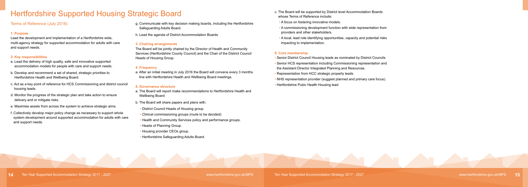### Hertfordshire Supported Housing Strategic Board

#### Terms of Reference (July 2016)

#### **1. Purpose**

Lead the development and implementation of a Hertfordshire wide, multi-agency strategy for supported accommodation for adults with care and support needs.

#### **2. Key responsibilities**

- a. Lead the delivery of high quality, safe and innovative supported accommodation models for people with care and support needs.
- b. Develop and recommend a set of shared, strategic priorities to Hertfordshire Health and Wellbeing Board.
- c. Act as a key point of reference for HCS Commissioning and district council housing leads.
- d. Monitor the progress of the strategic plan and take action to ensure delivery and or mitigate risks.
- e. Maximise assets from across the system to achieve strategic aims.
- f. Collectively develop major policy change as necessary to support whole system development around supported accommodation for adults with care and support needs.
- g. Communicate with key decision making boards, including the Hertfordshire Safeguarding Adults Board.
- h. Lead the agenda of District Accommodation Boards

#### **3. Chairing arrangements**

The Board will be jointly chaired by the Director of Health and Community Services (Hertfordshire County Council) and the Chair of the District Council Heads of Housing Group.

#### **4. Frequency**

a. After an initial meeting in July 2016 the Board will convene every 3 months line with Hertfordshire Health and Wellbeing Board meetings.

#### **8. Governance structure**

- a. The Board will report make recommendations to Hertfordshire Health and Wellbeing Board.
- b. The Board will share papers and plans with:
- District Council Heads of Housing group.
- Clinical commissioning groups (route to be decided)
- Health and Community Services policy and performance groups.
- Heads of Planning Group.
- Housing provider CEOs group.
- Hertfordshire Safeguarding Adults Board.

- c. The Board will be supported by District level Accommodation Boards whose Terms of Reference include:
- A focus on fostering innovative models.
- A commissioning development function with wide representation from providers and other stakeholders.
- A local, lead role identifying opportunities, capacity and potential risks impacting to implementation.

#### **9. Core membership**

- Senior District Council Housing leads as nominated by District Councils
- Senior HCS representation including Commissioning representation and the Assistant Director Integrated Planning and Resources.
- Representation from HCC strategic property leads
- NHS representation provider (suggest planned and primary care focus).
- Hertfordshire Pubic Health Housing lead